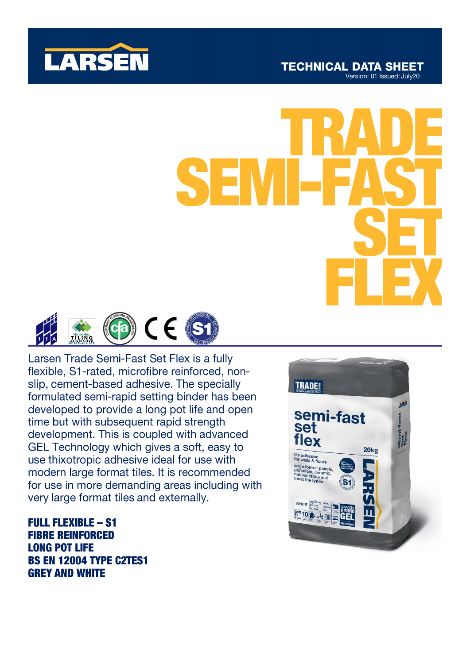



Larsen Trade Semi-Fast Set Flex is a fully flexible, S1-rated, microfibre reinforced, nonslip, cement-based adhesive. The specially formulated semi-rapid setting binder has been developed to provide a long pot life and open time but with subsequent rapid strength development. This is coupled with advanced GEL Technology which gives a soft, easy to use thixotropic adhesive ideal for use with modern large format tiles. It is recommended for use in more demanding areas including with very large format tiles and externally.

**FULL FLEXIBLE - S1 FIBRE REINFORCED LONG POT LIFE BS EN 12004 TYPE C2TES1 GREY AND WHITE** 

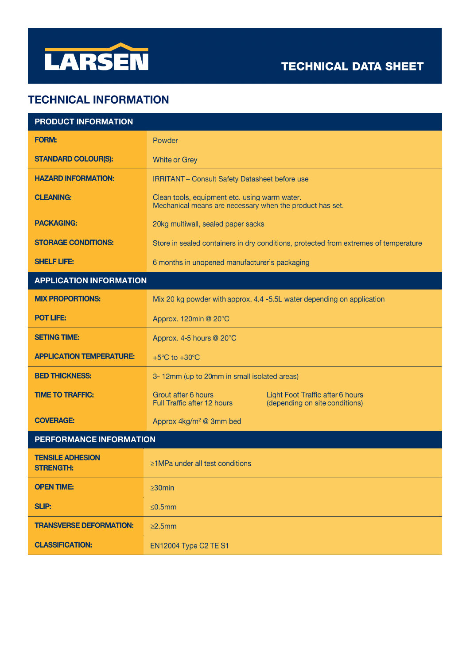

# **TECHNICAL INFORMATION**

| <b>PRODUCT INFORMATION</b>                  |                                                                                                                          |
|---------------------------------------------|--------------------------------------------------------------------------------------------------------------------------|
| <b>FORM:</b>                                | Powder                                                                                                                   |
| <b>STANDARD COLOUR(S):</b>                  | <b>White or Grey</b>                                                                                                     |
| <b>HAZARD INFORMATION:</b>                  | <b>IRRITANT - Consult Safety Datasheet before use</b>                                                                    |
| <b>CLEANING:</b>                            | Clean tools, equipment etc. using warm water.<br>Mechanical means are necessary when the product has set.                |
| <b>PACKAGING:</b>                           | 20kg multiwall, sealed paper sacks                                                                                       |
| <b>STORAGE CONDITIONS:</b>                  | Store in sealed containers in dry conditions, protected from extremes of temperature                                     |
| <b>SHELF LIFE:</b>                          | 6 months in unopened manufacturer's packaging                                                                            |
| <b>APPLICATION INFORMATION</b>              |                                                                                                                          |
| <b>MIX PROPORTIONS:</b>                     | Mix 20 kg powder with approx. 4.4 -5.5L water depending on application                                                   |
| <b>POT LIFE:</b>                            | Approx. 120min @ 20°C                                                                                                    |
| <b>SETING TIME:</b>                         | Approx. 4-5 hours @ 20°C                                                                                                 |
| <b>APPLICATION TEMPERATURE:</b>             | +5 $\mathrm{^{\circ}C}$ to +30 $\mathrm{^{\circ}C}$                                                                      |
| <b>BED THICKNESS:</b>                       | 3-12mm (up to 20mm in small isolated areas)                                                                              |
| <b>TIME TO TRAFFIC:</b>                     | Grout after 6 hours<br>Light Foot Traffic after 6 hours<br>Full Traffic after 12 hours<br>(depending on site conditions) |
| <b>COVERAGE:</b>                            | Approx 4kg/m <sup>2</sup> @ 3mm bed                                                                                      |
| PERFORMANCE INFORMATION                     |                                                                                                                          |
| <b>TENSILE ADHESION</b><br><b>STRENGTH:</b> | $\ge$ 1MPa under all test conditions                                                                                     |
| <b>OPEN TIME:</b>                           | $\geq 30$ min                                                                                                            |
| <b>SLIP:</b>                                | $≤0.5mm$                                                                                                                 |
| <b>TRANSVERSE DEFORMATION:</b>              | $\geq$ 2.5mm                                                                                                             |
| <b>CLASSIFICATION:</b>                      | EN12004 Type C2 TE S1                                                                                                    |